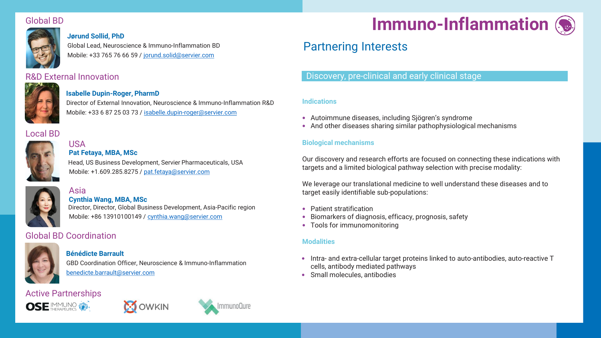# Global BD



### **Jørund Sollid, PhD**

Global Lead, Neuroscience & Immuno-Inflammation BD Mobile: +33 765 76 66 59 / [jorund.solid@servier.com](mailto:jorund.solid@servier.com)

# R&D External Innovation



### **Isabelle Dupin-Roger, PharmD**

Director of External Innovation, Neuroscience & Immuno-Inflammation R&D Mobile: +33 6 87 25 03 73 / [isabelle.dupin-roger@servier.com](mailto:isabelle.dupin-roger@servier.com)

# Local BD



#### **Pat Fetaya, MBA, MSc** USA

Head, US Business Development, Servier Pharmaceuticals, USA Mobile: +1.609.285.8275 / [pat.fetaya@servier.com](mailto:pat.fetaya@servier.com)



# **Cynthia Wang, MBA, MSc**

Director, Director, Global Business Development, Asia-Pacific region Mobile: +86 13910100149 / [cynthia.wang@servier.com](mailto:cynthia.wang@servier.com)

# Global BD Coordination

Asia



### **Bénédicte Barrault**

GBD Coordination Officer, Neuroscience & Immuno-Inflammation [benedicte.barrault@servier.com](mailto:benedicte.barrault@servier.com)

# Active Partnerships







# **Immuno-Inflammation**

# Partnering Interests

# Discovery, pre-clinical and early clinical stage

### **Indications**

- Autoimmune diseases, including Sjögren's syndrome
- And other diseases sharing similar pathophysiological mechanisms

### **Biological mechanisms**

Our discovery and research efforts are focused on connecting these indications with targets and a limited biological pathway selection with precise modality:

We leverage our translational medicine to well understand these diseases and to target easily identifiable sub-populations:

- Patient stratification
- Biomarkers of diagnosis, efficacy, prognosis, safety
- Tools for immunomonitoring

### **Modalities**

- Intra- and extra-cellular target proteins linked to auto-antibodies, auto-reactive T cells, antibody mediated pathways
- Small molecules, antibodies